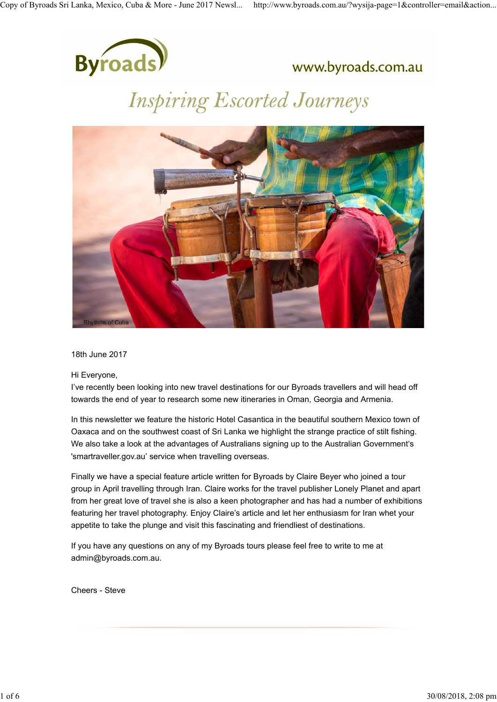

## www.byroads.com.au

# **Inspiring Escorted Journeys**



18th June 2017

Hi Everyone,

I've recently been looking into new travel destinations for our Byroads travellers and will head off towards the end of year to research some new itineraries in Oman, Georgia and Armenia.

In this newsletter we feature the historic Hotel Casantica in the beautiful southern Mexico town of Oaxaca and on the southwest coast of Sri Lanka we highlight the strange practice of stilt fishing. We also take a look at the advantages of Australians signing up to the Australian Government's 'smartraveller.gov.au' service when travelling overseas.

Finally we have a special feature article written for Byroads by Claire Beyer who joined a tour group in April travelling through Iran. Claire works for the travel publisher Lonely Planet and apart from her great love of travel she is also a keen photographer and has had a number of exhibitions featuring her travel photography. Enjoy Claire's article and let her enthusiasm for Iran whet your appetite to take the plunge and visit this fascinating and friendliest of destinations.

If you have any questions on any of my Byroads tours please feel free to write to me at admin@byroads.com.au.

Cheers - Steve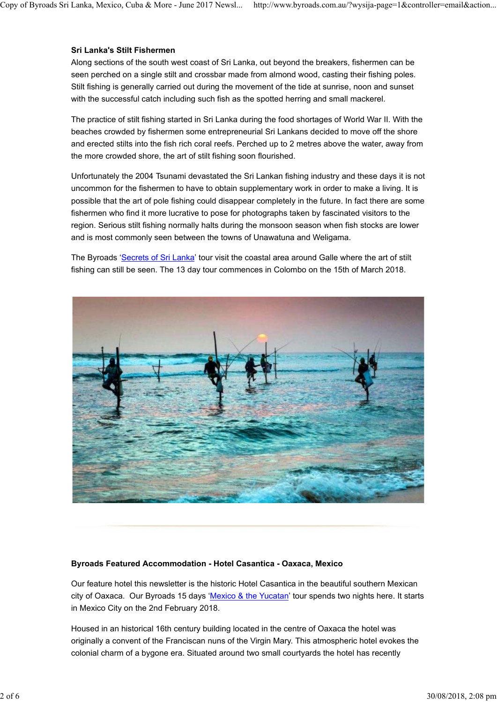#### **Sri Lanka's Stilt Fishermen**

Along sections of the south west coast of Sri Lanka, out beyond the breakers, fishermen can be seen perched on a single stilt and crossbar made from almond wood, casting their fishing poles. Stilt fishing is generally carried out during the movement of the tide at sunrise, noon and sunset with the successful catch including such fish as the spotted herring and small mackerel.

The practice of stilt fishing started in Sri Lanka during the food shortages of World War II. With the beaches crowded by fishermen some entrepreneurial Sri Lankans decided to move off the shore and erected stilts into the fish rich coral reefs. Perched up to 2 metres above the water, away from the more crowded shore, the art of stilt fishing soon flourished.

Unfortunately the 2004 Tsunami devastated the Sri Lankan fishing industry and these days it is not uncommon for the fishermen to have to obtain supplementary work in order to make a living. It is possible that the art of pole fishing could disappear completely in the future. In fact there are some fishermen who find it more lucrative to pose for photographs taken by fascinated visitors to the region. Serious stilt fishing normally halts during the monsoon season when fish stocks are lower and is most commonly seen between the towns of Unawatuna and Weligama.

The Byroads 'Secrets of Sri Lanka' tour visit the coastal area around Galle where the art of stilt fishing can still be seen. The 13 day tour commences in Colombo on the 15th of March 2018.



#### **Byroads Featured Accommodation - Hotel Casantica - Oaxaca, Mexico**

Our feature hotel this newsletter is the historic Hotel Casantica in the beautiful southern Mexican city of Oaxaca. Our Byroads 15 days 'Mexico & the Yucatan' tour spends two nights here. It starts in Mexico City on the 2nd February 2018.

Housed in an historical 16th century building located in the centre of Oaxaca the hotel was originally a convent of the Franciscan nuns of the Virgin Mary. This atmospheric hotel evokes the colonial charm of a bygone era. Situated around two small courtyards the hotel has recently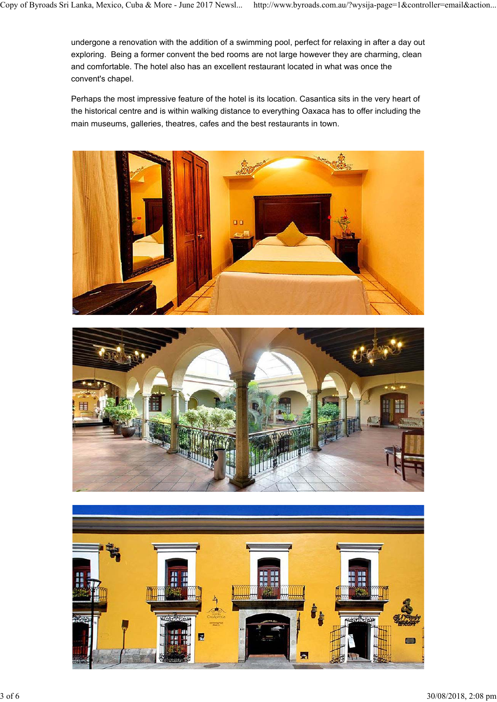undergone a renovation with the addition of a swimming pool, perfect for relaxing in after a day out exploring. Being a former convent the bed rooms are not large however they are charming, clean and comfortable. The hotel also has an excellent restaurant located in what was once the convent's chapel.

Perhaps the most impressive feature of the hotel is its location. Casantica sits in the very heart of the historical centre and is within walking distance to everything Oaxaca has to offer including the main museums, galleries, theatres, cafes and the best restaurants in town.





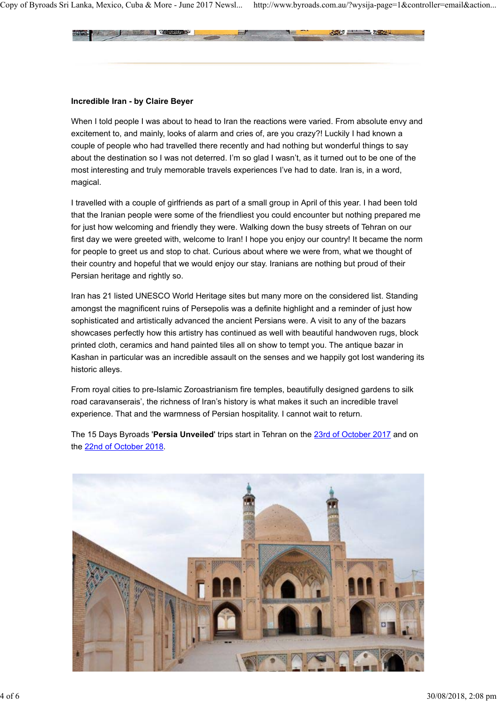#### **Incredible Iran - by Claire Beyer**

When I told people I was about to head to Iran the reactions were varied. From absolute envy and excitement to, and mainly, looks of alarm and cries of, are you crazy?! Luckily I had known a couple of people who had travelled there recently and had nothing but wonderful things to say about the destination so I was not deterred. I'm so glad I wasn't, as it turned out to be one of the most interesting and truly memorable travels experiences I've had to date. Iran is, in a word, magical.

I travelled with a couple of girlfriends as part of a small group in April of this year. I had been told that the Iranian people were some of the friendliest you could encounter but nothing prepared me for just how welcoming and friendly they were. Walking down the busy streets of Tehran on our first day we were greeted with, welcome to Iran! I hope you enjoy our country! It became the norm for people to greet us and stop to chat. Curious about where we were from, what we thought of their country and hopeful that we would enjoy our stay. Iranians are nothing but proud of their Persian heritage and rightly so.

Iran has 21 listed UNESCO World Heritage sites but many more on the considered list. Standing amongst the magnificent ruins of Persepolis was a definite highlight and a reminder of just how sophisticated and artistically advanced the ancient Persians were. A visit to any of the bazars showcases perfectly how this artistry has continued as well with beautiful handwoven rugs, block printed cloth, ceramics and hand painted tiles all on show to tempt you. The antique bazar in Kashan in particular was an incredible assault on the senses and we happily got lost wandering its historic alleys.

From royal cities to pre-Islamic Zoroastrianism fire temples, beautifully designed gardens to silk road caravanserais', the richness of Iran's history is what makes it such an incredible travel experience. That and the warmness of Persian hospitality. I cannot wait to return.

The 15 Days Byroads '**Persia Unveiled**' trips start in Tehran on the 23rd of October 2017 and on the 22nd of October 2018.

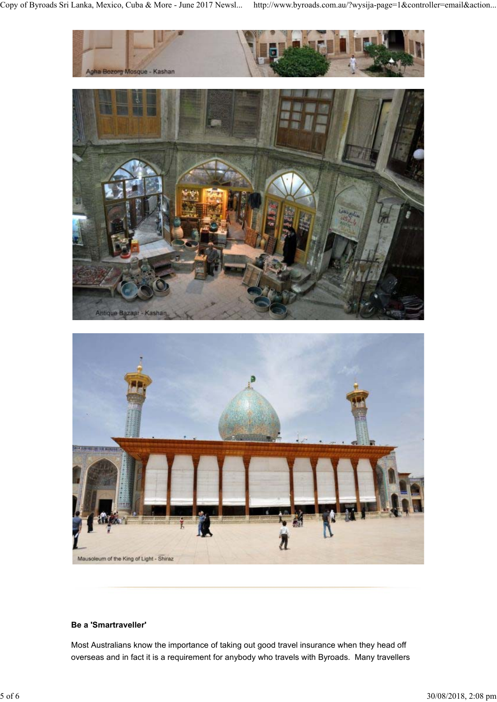

#### **Be a 'Smartraveller'**

Most Australians know the importance of taking out good travel insurance when they head off overseas and in fact it is a requirement for anybody who travels with Byroads. Many travellers